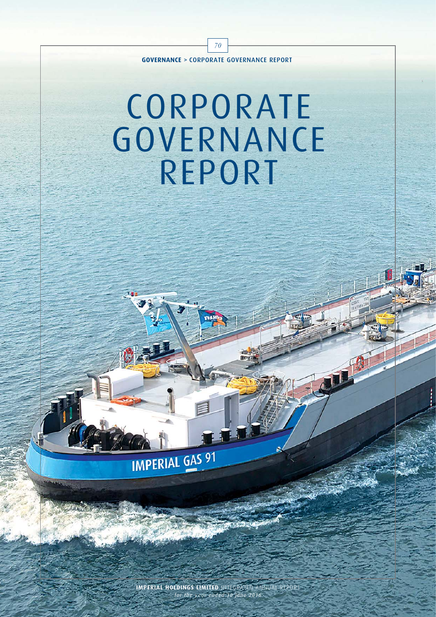

70

# CORPORATE **GOVERNANCE** REPORT



**IMPERIAL HOLDINGS LIMITED** INTEGRATED ANNUAL REPORT *for the year ended 30 June 2016*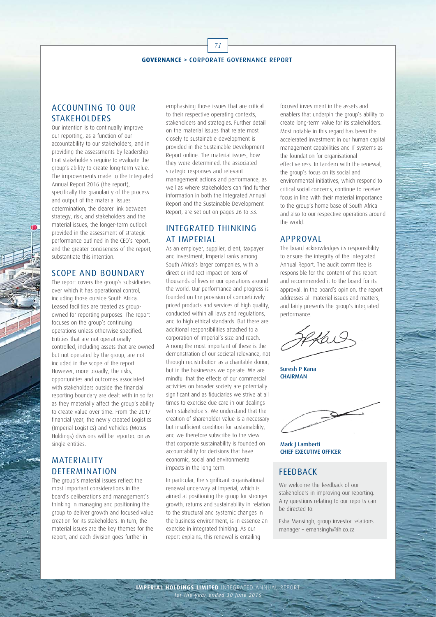71

#### ACCOUNTING TO OUR STAKEHOLDERS

Our intention is to continually improve our reporting, as a function of our accountability to our stakeholders, and in providing the assessments by leadership that stakeholders require to evaluate the group's ability to create long-term value. The improvements made to the Integrated Annual Report 2016 (the report), specifically the granularity of the process and output of the material issues determination, the clearer link between strategy, risk, and stakeholders and the material issues, the longer-term outlook provided in the assessment of strategic performance outlined in the CEO's report, and the greater conciseness of the report, substantiate this intention.

#### SCOPE AND BOUNDARY

The report covers the group's subsidiaries over which it has operational control, including those outside South Africa. Leased facilities are treated as groupowned for reporting purposes. The report focuses on the group's continuing operations unless otherwise specified. Entities that are not operationally controlled, including assets that are owned but not operated by the group, are not included in the scope of the report. However, more broadly, the risks, opportunities and outcomes associated with stakeholders outside the financial reporting boundary are dealt with in so far as they materially affect the group's ability to create value over time. From the 2017 financial year, the newly created Logistics (Imperial Logistics) and Vehicles (Motus Holdings) divisions will be reported on as single entities.

### **MATERIALITY DETERMINATION**

The group's material issues reflect the most important considerations in the board's deliberations and management's thinking in managing and positioning the group to deliver growth and focused value creation for its stakeholders. In turn, the material issues are the key themes for the report, and each division goes further in

emphasising those issues that are critical to their respective operating contexts, stakeholders and strategies. Further detail on the material issues that relate most closely to sustainable development is provided in the Sustainable Development Report online. The material issues, how they were determined, the associated strategic responses and relevant management actions and performance, as well as where stakeholders can find further information in both the Integrated Annual Report and the Sustainable Development Report, are set out on pages 26 to 33.

## INTEGRATED THINKING AT IMPERIAL

As an employer, supplier, client, taxpayer and investment, Imperial ranks among South Africa's larger companies, with a direct or indirect impact on tens of thousands of lives in our operations around the world. Our performance and progress is founded on the provision of competitively priced products and services of high quality, conducted within all laws and regulations, and to high ethical standards. But there are additional responsibilities attached to a corporation of Imperial's size and reach. Among the most important of these is the demonstration of our societal relevance, not through redistribution as a charitable donor, but in the businesses we operate. We are mindful that the effects of our commercial activities on broader society are potentially significant and as fiduciaries we strive at all times to exercise due care in our dealings with stakeholders. We understand that the creation of shareholder value is a necessary but insufficient condition for sustainability, and we therefore subscribe to the view that corporate sustainability is founded on accountability for decisions that have economic, social and environmental impacts in the long term.

In particular, the significant organisational renewal underway at Imperial, which is aimed at positioning the group for stronger growth, returns and sustainability in relation to the structural and systemic changes in the business environment, is in essence an exercise in integrated thinking. As our report explains, this renewal is entailing

focused investment in the assets and enablers that underpin the group's ability to create long-term value for its stakeholders. Most notable in this regard has been the accelerated investment in our human capital management capabilities and IT systems as the foundation for organisational effectiveness. In tandem with the renewal, the group's focus on its social and environmental initiatives, which respond to critical social concerns, continue to receive focus in line with their material importance to the group's home base of South Africa and also to our respective operations around the world.

#### APPROVAL

The board acknowledges its responsibility to ensure the integrity of the Integrated Annual Report. The audit committee is responsible for the content of this report and recommended it to the board for its approval. In the board's opinion, the report addresses all material issues and matters, and fairly presents the group's integrated performance.

 $\sim$  0.11

Suresh P Kana **CHAIRMAN** 

Mark J Lamberti CHIEF EXECUTIVE OFFICER

#### **FFFDRACK**

We welcome the feedback of our stakeholders in improving our reporting. Any questions relating to our reports can be directed to:

Esha Mansingh, group investor relations manager – emansingh@ih.co.za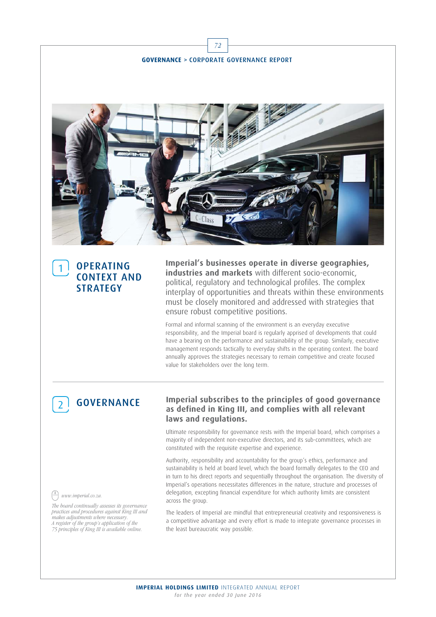

## **OPERATING** CONTEXT AND **STRATEGY**

**Imperial's businesses operate in diverse geographies, industries and markets** with different socio-economic, political, regulatory and technological profiles. The complex interplay of opportunities and threats within these environments must be closely monitored and addressed with strategies that ensure robust competitive positions.

Formal and informal scanning of the environment is an everyday executive responsibility, and the Imperial board is regularly apprised of developments that could have a bearing on the performance and sustainability of the group. Similarly, executive management responds tactically to everyday shifts in the operating context. The board annually approves the strategies necessary to remain competitive and create focused value for stakeholders over the long term.

# **GOVERNANCE**

#### **Imperial subscribes to the principles of good governance as defined in King III, and complies with all relevant laws and regulations.**

Ultimate responsibility for governance rests with the Imperial board, which comprises a majority of independent non-executive directors, and its sub-committees, which are constituted with the requisite expertise and experience.

Authority, responsibility and accountability for the group's ethics, performance and sustainability is held at board level, which the board formally delegates to the CEO and in turn to his direct reports and sequentially throughout the organisation. The diversity of Imperial's operations necessitates differences in the nature, structure and processes of delegation, excepting financial expenditure for which authority limits are consistent across the group.

The leaders of Imperial are mindful that entrepreneurial creativity and responsiveness is a competitive advantage and every effort is made to integrate governance processes in the least bureaucratic way possible.

#### www.imperial.co.za.

The board continually assesses its governance practices and procedures against King III and makes adjustments where necessary. A register of the group's application of the 75 principles of King III is available online.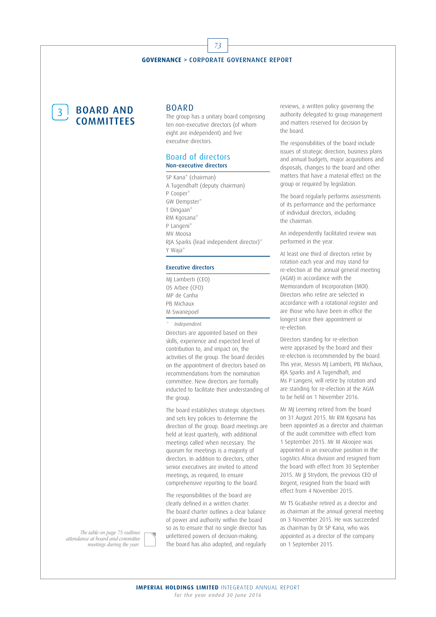73

3 BOARD AND **COMMITTEES** 

#### **BOARD**

The group has a unitary board comprising ten non-executive directors (of whom eight are independent) and five executive directors.

#### Board of directors Non-executive directors

SP Kana\* (chairman) A Tugendhaft (deputy chairman) P Cooper\* GW Dempster\* T Dingaan\* RM Kgosana\* P Langeni\* MV Moosa RJA Sparks (lead independent director)\* Y Waja\*

#### Executive directors

MJ Lamberti (CEO) OS Arbee (CFO) MP de Canha PB Michaux M Swanepoel

Independent.

Directors are appointed based on their skills, experience and expected level of contribution to, and impact on, the activities of the group. The board decides on the appointment of directors based on recommendations from the nomination committee. New directors are formally inducted to facilitate their understanding of the group.

The board establishes strategic objectives and sets key policies to determine the direction of the group. Board meetings are held at least quarterly, with additional meetings called when necessary. The quorum for meetings is a majority of directors. In addition to directors, other senior executives are invited to attend meetings, as required, to ensure comprehensive reporting to the board.

The responsibilities of the board are clearly defined in a written charter. The board charter outlines a clear balance of power and authority within the board so as to ensure that no single director has unfettered powers of decision-making. The board has also adopted, and regularly

reviews, a written policy governing the authority delegated to group management and matters reserved for decision by the board.

The responsibilities of the board include issues of strategic direction, business plans and annual budgets, major acquisitions and disposals, changes to the board and other matters that have a material effect on the group or required by legislation.

The board regularly performs assessments of its performance and the performance of individual directors, including the chairman.

An independently facilitated review was performed in the year.

At least one third of directors retire by rotation each year and may stand for re-election at the annual general meeting (AGM) in accordance with the Memorandum of Incorporation (MOI). Directors who retire are selected in accordance with a rotational register and are those who have been in office the longest since their appointment or re-election.

Directors standing for re-election were appraised by the board and their re-election is recommended by the board. This year, Messrs MJ Lamberti, PB Michaux, RJA Sparks and A Tugendhaft, and Ms P Langeni, will retire by rotation and are standing for re-election at the AGM to be held on 1 November 2016.

Mr MJ Leeming retired from the board on 31 August 2015. Mr RM Kgosana has been appointed as a director and chairman of the audit committee with effect from 1 September 2015. Mr M Akoojee was appointed in an executive position in the Logistics Africa division and resigned from the board with effect from 30 September 2015. Mr JJ Strydom, the previous CEO of Regent, resigned from the board with effect from 4 November 2015.

Mr TS Gcabashe retired as a director and as chairman at the annual general meeting on 3 November 2015. He was succeeded as chairman by Dr SP Kana, who was appointed as a director of the company on 1 September 2015.

The table on page 75 outlines attendance at board and committee meetings during the year.



**IMPERIAL HOLDINGS LIMITED** INTEGRATED ANNUAL REPORT *for the year ended 30 June 2016*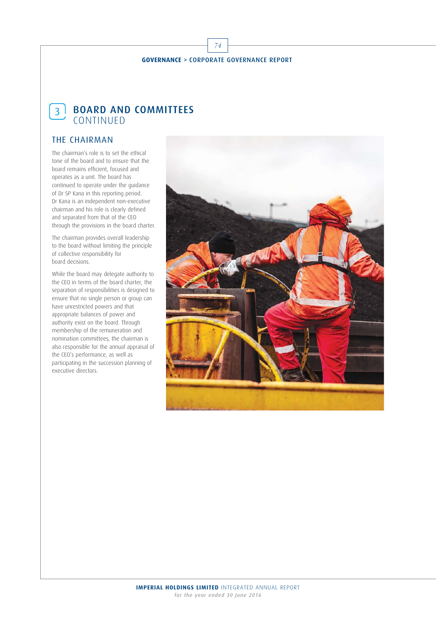74

## $\left\lceil \frac{3}{3} \right\rceil$  BOARD AND COMMITTEES CONTINUED

## THE CHAIRMAN

The chairman's role is to set the ethical tone of the board and to ensure that the board remains efficient, focused and operates as a unit. The board has continued to operate under the guidance of Dr SP Kana in this reporting period. Dr Kana is an independent non-executive chairman and his role is clearly defined and separated from that of the CEO through the provisions in the board charter.

The chairman provides overall leadership to the board without limiting the principle of collective responsibility for board decisions.

While the board may delegate authority to the CEO in terms of the board charter, the separation of responsibilities is designed to ensure that no single person or group can have unrestricted powers and that appropriate balances of power and authority exist on the board. Through membership of the remuneration and nomination committees, the chairman is also responsible for the annual appraisal of the CEO's performance, as well as participating in the succession planning of executive directors.

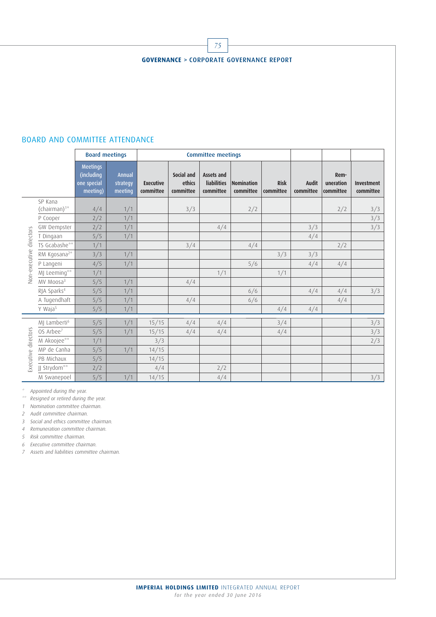

75

#### BOARD AND COMMITTEE ATTENDANCE

|                            |                                     | <b>Board meetings</b>                                    |                               |                               |                                   | <b>Committee meetings</b>                     |                         |                          |                           |                                |                                |
|----------------------------|-------------------------------------|----------------------------------------------------------|-------------------------------|-------------------------------|-----------------------------------|-----------------------------------------------|-------------------------|--------------------------|---------------------------|--------------------------------|--------------------------------|
|                            |                                     | <b>Meetings</b><br>(including<br>one special<br>meeting) | Annual<br>strategy<br>meeting | <b>Executive</b><br>committee | Social and<br>ethics<br>committee | Assets and<br><b>liabilities</b><br>committee | Nomination<br>committee | <b>Risk</b><br>committee | <b>Audit</b><br>committee | Rem-<br>uneration<br>committee | <b>Investment</b><br>committee |
| directors<br>Non-executive | SP Kana<br>(chairman) <sup>1*</sup> | 4/4                                                      | 1/1                           |                               | 3/3                               |                                               | 2/2                     |                          |                           | 2/2                            | 3/3                            |
|                            | P Cooper                            | 2/2                                                      | 1/1                           |                               |                                   |                                               |                         |                          |                           |                                | 3/3                            |
|                            | GW Dempster                         | 2/2                                                      | 1/1                           |                               |                                   | 4/4                                           |                         |                          | 3/3                       |                                | 3/3                            |
|                            | T Dingaan                           | 5/5                                                      | 1/1                           |                               |                                   |                                               |                         |                          | 4/4                       |                                |                                |
|                            | TS Gcabashe**                       | 1/1                                                      |                               |                               | 3/4                               |                                               | 4/4                     |                          |                           | 2/2                            |                                |
|                            | RM Kgosana <sup>2*</sup>            | 3/3                                                      | 1/1                           |                               |                                   |                                               |                         | 3/3                      | 3/3                       |                                |                                |
|                            | P Langeni                           | 4/5                                                      | 1/1                           |                               |                                   |                                               | 5/6                     |                          | 4/4                       | 4/4                            |                                |
|                            | MJ Leeming**                        | 1/1                                                      |                               |                               |                                   | 1/1                                           |                         | 1/1                      |                           |                                |                                |
|                            | MV Moosa <sup>3</sup>               | 5/5                                                      | 1/1                           |                               | 4/4                               |                                               |                         |                          |                           |                                |                                |
|                            | RJA Sparks <sup>4</sup>             | 5/5                                                      | 1/1                           |                               |                                   |                                               | 6/6                     |                          | 4/4                       | 4/4                            | 3/3                            |
|                            | A Tugendhaft                        | 5/5                                                      | 1/1                           |                               | 4/4                               |                                               | 6/6                     |                          |                           | 4/4                            |                                |
|                            | Y Waja <sup>5</sup>                 | 5/5                                                      | 1/1                           |                               |                                   |                                               |                         | 4/4                      | 4/4                       |                                |                                |
| Executive directors        | MJ Lamberti <sup>6</sup>            | 5/5                                                      | 1/1                           | 15/15                         | 4/4                               | 4/4                                           |                         | 3/4                      |                           |                                | 3/3                            |
|                            | OS Arbee <sup>7</sup>               | 5/5                                                      | 1/1                           | 15/15                         | 4/4                               | 4/4                                           |                         | 4/4                      |                           |                                | 3/3                            |
|                            | M Akoojee**                         | 1/1                                                      |                               | 3/3                           |                                   |                                               |                         |                          |                           |                                | 2/3                            |
|                            | MP de Canha                         | 5/5                                                      | 1/1                           | 14/15                         |                                   |                                               |                         |                          |                           |                                |                                |
|                            | PB Michaux                          | 5/5                                                      |                               | 14/15                         |                                   |                                               |                         |                          |                           |                                |                                |
|                            | JJ Strydom**                        | 2/2                                                      |                               | 4/4                           |                                   | 2/2                                           |                         |                          |                           |                                |                                |
|                            | M Swanepoel                         | 5/5                                                      | 1/1                           | 14/15                         |                                   | 4/4                                           |                         |                          |                           |                                | 3/3                            |

\* Appointed during the year.

\*\* Resigned or retired during the year.

1 Nomination committee chairman.

2 Audit committee chairman.

3 Social and ethics committee chairman.

4 Remuneration committee chairman.

5 Risk committee chairman.

6 Executive committee chairman.

7 Assets and liabilities committee chairman.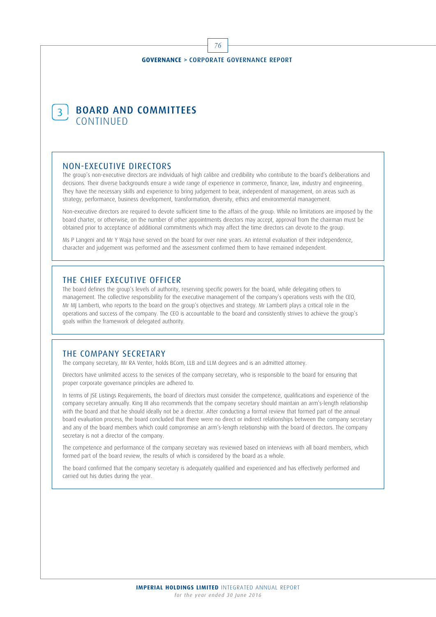76



#### NON-EXECUTIVE DIRECTORS

The group's non-executive directors are individuals of high calibre and credibility who contribute to the board's deliberations and decisions. Their diverse backgrounds ensure a wide range of experience in commerce, finance, law, industry and engineering. They have the necessary skills and experience to bring judgement to bear, independent of management, on areas such as strategy, performance, business development, transformation, diversity, ethics and environmental management.

Non-executive directors are required to devote sufficient time to the affairs of the group. While no limitations are imposed by the board charter, or otherwise, on the number of other appointments directors may accept, approval from the chairman must be obtained prior to acceptance of additional commitments which may affect the time directors can devote to the group.

Ms P Langeni and Mr Y Waja have served on the board for over nine years. An internal evaluation of their independence, character and judgement was performed and the assessment confirmed them to have remained independent.

#### THE CHIEF EXECUTIVE OFFICER

The board defines the group's levels of authority, reserving specific powers for the board, while delegating others to management. The collective responsibility for the executive management of the company's operations vests with the CEO, Mr MJ Lamberti, who reports to the board on the group's objectives and strategy. Mr Lamberti plays a critical role in the operations and success of the company. The CEO is accountable to the board and consistently strives to achieve the group's goals within the framework of delegated authority.

#### THE COMPANY SECRETARY

The company secretary, Mr RA Venter, holds BCom, LLB and LLM degrees and is an admitted attorney.

Directors have unlimited access to the services of the company secretary, who is responsible to the board for ensuring that proper corporate governance principles are adhered to.

In terms of JSE Listings Requirements, the board of directors must consider the competence, qualifications and experience of the company secretary annually. King III also recommends that the company secretary should maintain an arm's-length relationship with the board and that he should ideally not be a director. After conducting a formal review that formed part of the annual board evaluation process, the board concluded that there were no direct or indirect relationships between the company secretary and any of the board members which could compromise an arm's-length relationship with the board of directors. The company secretary is not a director of the company.

The competence and performance of the company secretary was reviewed based on interviews with all board members, which formed part of the board review, the results of which is considered by the board as a whole.

The board confirmed that the company secretary is adequately qualified and experienced and has effectively performed and carried out his duties during the year.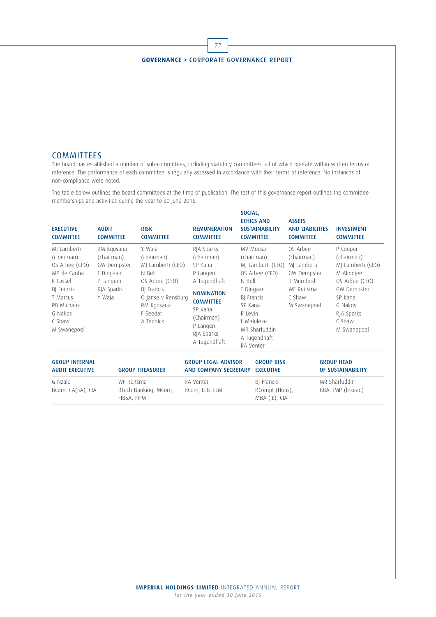77

#### **COMMITTEES**

The board has established a number of sub-committees, including statutory committees, all of which operate within written terms of reference. The performance of each committee is regularly assessed in accordance with their terms of reference. No instances of non-compliance were noted.

The table below outlines the board committees at the time of publication. The rest of this governance report outlines the committee memberships and activities during the year to 30 June 2016.

| <b>EXECUTIVE</b><br><b>COMMITTEE</b>                                                                                                               | <b>AUDIT</b><br><b>COMMITTEE</b>                                                          | <b>RISK</b><br><b>COMMITTEE</b>                                                                                                                  | <b>REMUNERATION</b><br><b>COMMITTEE</b>                                                                                                                                       | SOCIAL,                      | <b>ETHICS AND</b><br><b>SUSTAINABILITY</b><br><b>COMMITTEE</b>                                                                                       | <b>ASSETS</b><br><b>AND LIABILITIES</b><br><b>COMMITTEE</b>                                              |                                        | <b>INVESTMENT</b><br><b>COMMITTEE</b>                                                                                                                  |
|----------------------------------------------------------------------------------------------------------------------------------------------------|-------------------------------------------------------------------------------------------|--------------------------------------------------------------------------------------------------------------------------------------------------|-------------------------------------------------------------------------------------------------------------------------------------------------------------------------------|------------------------------|------------------------------------------------------------------------------------------------------------------------------------------------------|----------------------------------------------------------------------------------------------------------|----------------------------------------|--------------------------------------------------------------------------------------------------------------------------------------------------------|
| MJ Lamberti<br>(chairman)<br>OS Arbee (CFO)<br>MP de Canha<br>K Cassel<br>BJ Francis<br>T Marcus<br>PB Michaux<br>G Nakos<br>C Shaw<br>M Swanepoel | RM Kgosana<br>(chairman)<br>GW Dempster<br>T Dingaan<br>P Langeni<br>RJA Sparks<br>Y Waja | Y Waja<br>(chairman)<br>MI Lamberti (CEO)<br>N Bell<br>OS Arbee (CFO)<br>BJ Francis<br>O Janse v Rensburg<br>RM Kgosana<br>F Seedat<br>A Tennick | RJA Sparks<br>(chairman)<br>SP Kana<br>P Langeni<br>A Tugendhaft<br><b>NOMINATION</b><br><b>COMMITTEE</b><br>SP Kana<br>(Chairman)<br>P Langeni<br>RJA Sparks<br>A Tugendhaft | N Bell<br>SP Kana<br>R Levin | MV Moosa<br>(chairman)<br>MI Lamberti (CEO)<br>OS Arbee (CFO)<br>T Dingaan<br>BJ Francis<br>L Maluleke<br>MR Sharfuddin<br>A Tugendhaft<br>RA Venter | OS Arbee<br>(chairman)<br>MI Lamberti<br>GW Dempster<br>R Mumford<br>WF Reitsma<br>C Shaw<br>M Swanepoel |                                        | P Cooper<br>(chairman)<br>MI Lamberti (CEO)<br>M Akoojee<br>OS Arbee (CFO)<br>GW Dempster<br>SP Kana<br>G Nakos<br>RJA Sparks<br>C Shaw<br>M Swanepoel |
| <b>GROUP INTERNAL</b><br><b>AUDIT EXECUTIVE</b>                                                                                                    |                                                                                           | <b>GROUP TREASURER</b>                                                                                                                           | <b>GROUP LEGAL ADVISOR</b><br><b>AND COMPANY SECRETARY</b>                                                                                                                    |                              | <b>GROUP RISK</b><br><b>EXECUTIVE</b>                                                                                                                |                                                                                                          | <b>GROUP HEAD</b><br>OF SUSTAINABILITY |                                                                                                                                                        |
| G Nzalo<br>BCom, CA(SA), CIA                                                                                                                       | WF Reitsma<br>BTech Banking, MCom,<br>FIBSA, FIFM                                         |                                                                                                                                                  | RA Venter<br>BCom, LLB, LLM                                                                                                                                                   |                              | BJ Francis<br>BCompt (Hons),<br>MBA (IE), CIA                                                                                                        |                                                                                                          | MR Sharfuddin<br>BBA, IMP (Insead)     |                                                                                                                                                        |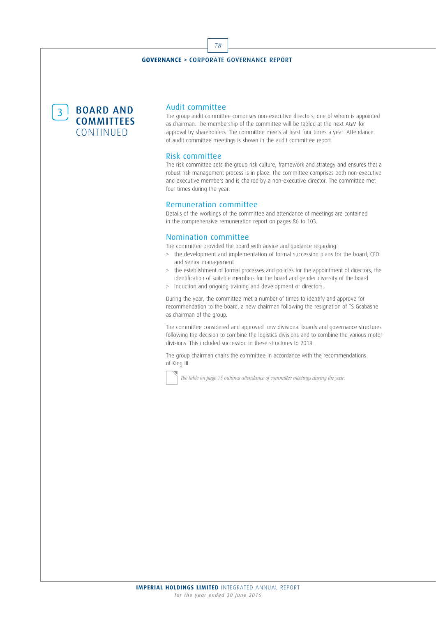78

3<sup>BOARD</sup> AND **COMMITTEES** CONTINUED

#### Audit committee

The group audit committee comprises non-executive directors, one of whom is appointed as chairman. The membership of the committee will be tabled at the next AGM for approval by shareholders. The committee meets at least four times a year. Attendance of audit committee meetings is shown in the audit committee report.

#### Risk committee

The risk committee sets the group risk culture, framework and strategy and ensures that a robust risk management process is in place. The committee comprises both non-executive and executive members and is chaired by a non-executive director. The committee met four times during the year.

#### Remuneration committee

Details of the workings of the committee and attendance of meetings are contained in the comprehensive remuneration report on pages 86 to 103.

#### Nomination committee

The committee provided the board with advice and guidance regarding:

- > the development and implementation of formal succession plans for the board, CEO and senior management
- > the establishment of formal processes and policies for the appointment of directors, the identification of suitable members for the board and gender diversity of the board
- > induction and ongoing training and development of directors.

During the year, the committee met a number of times to identify and approve for recommendation to the board, a new chairman following the resignation of TS Gcabashe as chairman of the group.

The committee considered and approved new divisional boards and governance structures following the decision to combine the logistics divisions and to combine the various motor divisions. This included succession in these structures to 2018.

The group chairman chairs the committee in accordance with the recommendations of King III.

The table on page 75 outlines attendance of committee meetings during the year.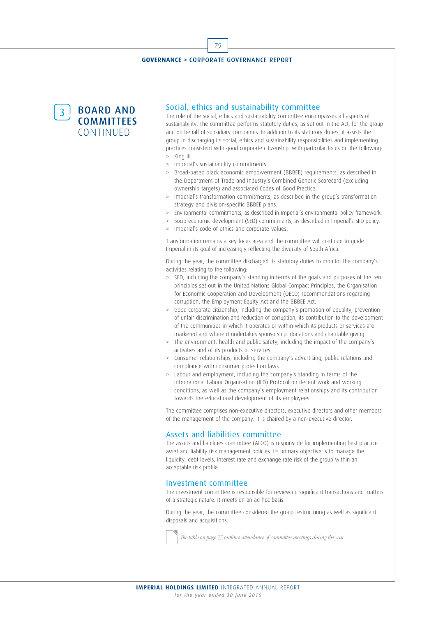79



#### Social, ethics and sustainability committee

The role of the social, ethics and sustainability committee encompasses all aspects of sustainability. The committee performs statutory duties, as set out in the Act, for the group and on behalf of subsidiary companies. In addition to its statutory duties, it assists the group in discharging its social, ethics and sustainability responsibilities and implementing practices consistent with good corporate citizenship, with particular focus on the following: > King III.

- > Imperial's sustainability commitments.
- > Broad-based black economic empowerment (BBBEE) requirements, as described in the Department of Trade and Industry's Combined Generic Scorecard (excluding ownership targets) and associated Codes of Good Practice.
- Imperial's transformation commitments, as described in the group's transformation strategy and division-specific BBBEE plans.
- Environmental commitments, as described in Imperial's environmental policy framework.
- > Socio-economic development (SED) commitments, as described in Imperial's SED policy.
- > Imperial's code of ethics and corporate values.

Transformation remains a key focus area and the committee will continue to guide Imperial in its goal of increasingly reflecting the diversity of South Africa.

During the year, the committee discharged its statutory duties to monitor the company's activities relating to the following:

- > SED, including the company's standing in terms of the goals and purposes of the ten principles set out in the United Nations Global Compact Principles, the Organisation for Economic Cooperation and Development (OECD) recommendations regarding corruption, the Employment Equity Act and the BBBEE Act.
- Good corporate citizenship, including the company's promotion of equality, prevention of unfair discrimination and reduction of corruption, its contribution to the development of the communities in which it operates or within which its products or services are marketed and where it undertakes sponsorship, donations and charitable giving.
- > The environment, health and public safety, including the impact of the company's activities and of its products or services.
- > Consumer relationships, including the company's advertising, public relations and compliance with consumer protection laws.
- Labour and employment, including the company's standing in terms of the International Labour Organisation (ILO) Protocol on decent work and working conditions, as well as the company's employment relationships and its contribution towards the educational development of its employees.

The committee comprises non-executive directors, executive directors and other members of the management of the company. It is chaired by a non-executive director.

#### Assets and liabilities committee

The assets and liabilities committee (ALCO) is responsible for implementing best practice asset and liability risk management policies. Its primary objective is to manage the liquidity, debt levels, interest rate and exchange rate risk of the group within an acceptable risk profile.

#### Investment committee

The investment committee is responsible for reviewing significant transactions and matters of a strategic nature. It meets on an ad hoc basis.

During the year, the committee considered the group restructuring as well as significant disposals and acquisitions.

The table on page 75 outlines attendance of committee meetings during the year.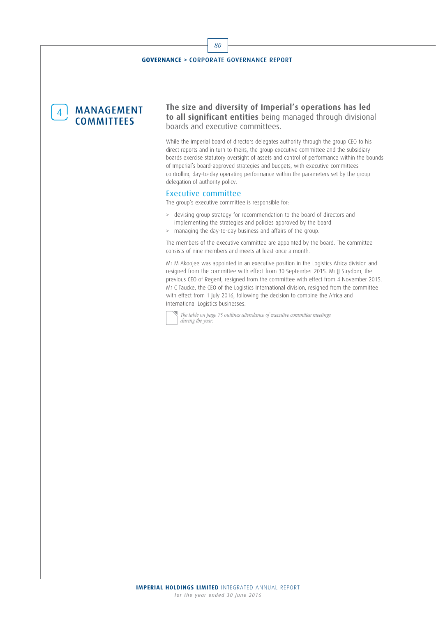4 MANAGEMENT **COMMITTEES** 

**The size and diversity of Imperial's operations has led to all significant entities** being managed through divisional boards and executive committees.

While the Imperial board of directors delegates authority through the group CEO to his direct reports and in turn to theirs, the group executive committee and the subsidiary boards exercise statutory oversight of assets and control of performance within the bounds of Imperial's board-approved strategies and budgets, with executive committees controlling day-to-day operating performance within the parameters set by the group delegation of authority policy.

#### Executive committee

The group's executive committee is responsible for:

- > devising group strategy for recommendation to the board of directors and implementing the strategies and policies approved by the board
- > managing the day-to-day business and affairs of the group.

The members of the executive committee are appointed by the board. The committee consists of nine members and meets at least once a month.

Mr M Akoojee was appointed in an executive position in the Logistics Africa division and resigned from the committee with effect from 30 September 2015. Mr JJ Strydom, the previous CEO of Regent, resigned from the committee with effect from 4 November 2015. Mr C Taucke, the CEO of the Logistics International division, resigned from the committee with effect from 1 July 2016, following the decision to combine the Africa and International Logistics businesses.

The table on page 75 outlines attendance of executive committee meetings during the year

80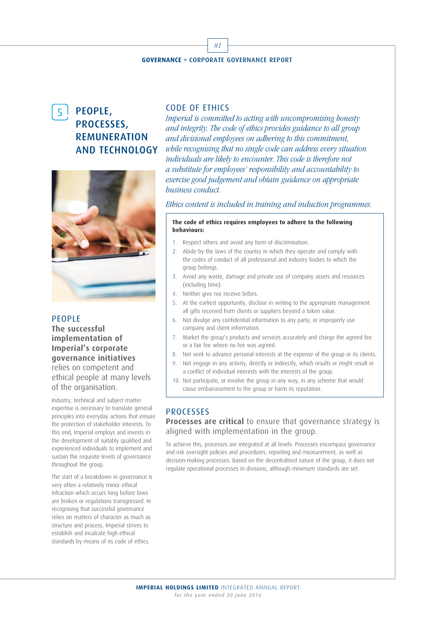81



## 5 PEOPLE, PROCESSES, REMUNERATION AND TECHNOLOGY



#### **PEOPLE**

**The successful implementation of Imperial's corporate governance initiatives**  relies on competent and ethical people at many levels of the organisation.

Industry, technical and subject matter expertise is necessary to translate general principles into everyday actions that ensure the protection of stakeholder interests. To this end, Imperial employs and invests in the development of suitably qualified and experienced individuals to implement and sustain the requisite levels of governance throughout the group.

The start of a breakdown in governance is very often a relatively minor ethical infraction which occurs long before laws are broken or regulations transgressed. In recognising that successful governance relies on matters of character as much as structure and process, Imperial strives to establish and inculcate high ethical standards by means of its code of ethics.

#### CODE OF ETHICS

Imperial is committed to acting with uncompromising honesty and integrity. The code of ethics provides guidance to all group and divisional employees on adhering to this commitment, while recognising that no single code can address every situation individuals are likely to encounter. This code is therefore not a substitute for employees' responsibility and accountability to exercise good judgement and obtain guidance on appropriate business conduct.

#### Ethics content is included in training and induction programmes.

#### **The code of ethics requires employees to adhere to the following behaviours:**

- 1. Respect others and avoid any form of discrimination.
- 2. Abide by the laws of the country in which they operate and comply with the codes of conduct of all professional and industry bodies to which the group belongs.
- 3. Avoid any waste, damage and private use of company assets and resources (including time).
- 4. Neither give nor receive bribes.
- 5. At the earliest opportunity, disclose in writing to the appropriate management all gifts received from clients or suppliers beyond a token value.
- 6. Not divulge any confidential information to any party, or improperly use company and client information.
- 7. Market the group's products and services accurately and charge the agreed fee or a fair fee where no fee was agreed.
- 8. Not seek to advance personal interests at the expense of the group or its clients.
- 9. Not engage in any activity, directly or indirectly, which results or might result in a conflict of individual interests with the interests of the group.
- 10. Not participate, or involve the group in any way, in any scheme that would cause embarrassment to the group or harm its reputation.

#### PROCESSES

**Processes are critical** to ensure that governance strategy is aligned with implementation in the group.

To achieve this, processes are integrated at all levels. Processes encompass governance and risk oversight policies and procedures, reporting and measurement, as well as decision-making processes. Based on the decentralised nature of the group, it does not regulate operational processes in divisions, although minimum standards are set.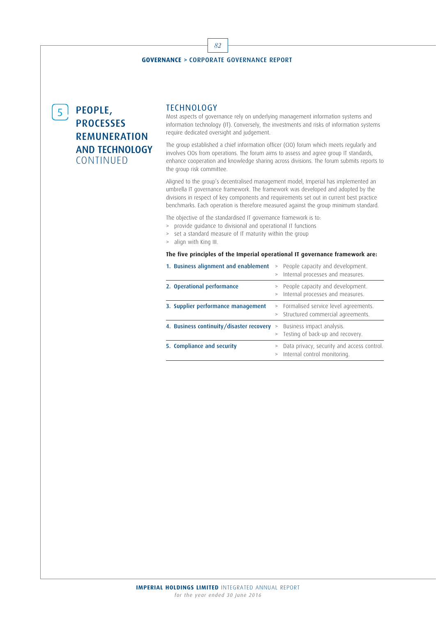## 5 PEOPLE, **PROCESSES** REMUNERATION AND TECHNOLOGY CONTINUED

#### TECHNOLOGY

Most aspects of governance rely on underlying management information systems and information technology (IT). Conversely, the investments and risks of information systems require dedicated oversight and judgement.

The group established a chief information officer (CIO) forum which meets regularly and involves CIOs from operations. The forum aims to assess and agree group IT standards, enhance cooperation and knowledge sharing across divisions. The forum submits reports to the group risk committee.

Aligned to the group's decentralised management model, Imperial has implemented an umbrella IT governance framework. The framework was developed and adopted by the divisions in respect of key components and requirements set out in current best practice benchmarks. Each operation is therefore measured against the group minimum standard.

The objective of the standardised IT governance framework is to:

- > provide guidance to divisional and operational IT functions
- set a standard measure of IT maturity within the group
- > align with King III.

#### **The five principles of the Imperial operational IT governance framework are:**

| 1. Business alignment and enablement     | >      | > People capacity and development.<br>Internal processes and measures.      |
|------------------------------------------|--------|-----------------------------------------------------------------------------|
| 2. Operational performance               |        | > People capacity and development.<br>Internal processes and measures.      |
| 3. Supplier performance management       | $\geq$ | > Formalised service level agreements.<br>Structured commercial agreements. |
| 4. Business continuity/disaster recovery | $\geq$ | Business impact analysis.<br>Testing of back-up and recovery.               |
| 5. Compliance and security               |        | Data privacy, security and access control.<br>Internal control monitoring.  |

82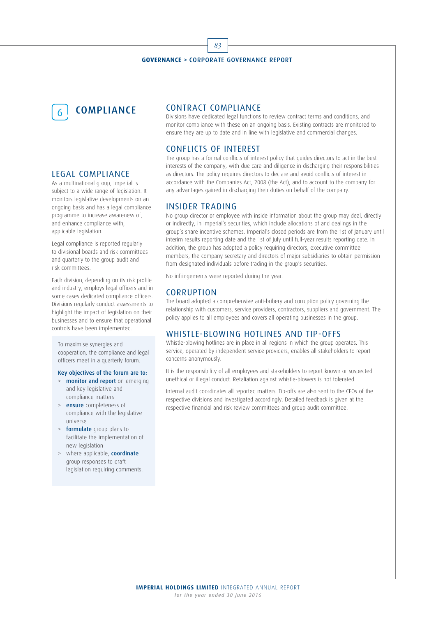83



#### LEGAL COMPLIANCE

As a multinational group, Imperial is subject to a wide range of legislation. It monitors legislative developments on an ongoing basis and has a legal compliance programme to increase awareness of, and enhance compliance with, applicable legislation.

Legal compliance is reported regularly to divisional boards and risk committees and quarterly to the group audit and risk committees.

Each division, depending on its risk profile and industry, employs legal officers and in some cases dedicated compliance officers. Divisions regularly conduct assessments to highlight the impact of legislation on their businesses and to ensure that operational controls have been implemented.

To maximise synergies and cooperation, the compliance and legal officers meet in a quarterly forum.

#### Key objectives of the forum are to:

- > monitor and report on emerging and key legislative and compliance matters
- ensure completeness of compliance with the legislative universe
- > formulate group plans to facilitate the implementation of new legislation
- > where applicable, **coordinate** group responses to draft legislation requiring comments.

#### CONTRACT COMPLIANCE

Divisions have dedicated legal functions to review contract terms and conditions, and monitor compliance with these on an ongoing basis. Existing contracts are monitored to ensure they are up to date and in line with legislative and commercial changes.

#### CONFLICTS OF INTEREST

The group has a formal conflicts of interest policy that guides directors to act in the best interests of the company, with due care and diligence in discharging their responsibilities as directors. The policy requires directors to declare and avoid conflicts of interest in accordance with the Companies Act, 2008 (the Act), and to account to the company for any advantages gained in discharging their duties on behalf of the company.

#### INSIDER TRADING

No group director or employee with inside information about the group may deal, directly or indirectly, in Imperial's securities, which include allocations of and dealings in the group's share incentive schemes. Imperial's closed periods are from the 1st of January until interim results reporting date and the 1st of July until full-year results reporting date. In addition, the group has adopted a policy requiring directors, executive committee members, the company secretary and directors of major subsidiaries to obtain permission from designated individuals before trading in the group's securities.

No infringements were reported during the year.

#### **CORRUPTION**

The board adopted a comprehensive anti-bribery and corruption policy governing the relationship with customers, service providers, contractors, suppliers and government. The policy applies to all employees and covers all operating businesses in the group.

#### WHISTLE-BLOWING HOTLINES AND TIP-OFFS

Whistle-blowing hotlines are in place in all regions in which the group operates. This service, operated by independent service providers, enables all stakeholders to report concerns anonymously.

It is the responsibility of all employees and stakeholders to report known or suspected unethical or illegal conduct. Retaliation against whistle-blowers is not tolerated.

Internal audit coordinates all reported matters. Tip-offs are also sent to the CEOs of the respective divisions and investigated accordingly. Detailed feedback is given at the respective financial and risk review committees and group audit committee.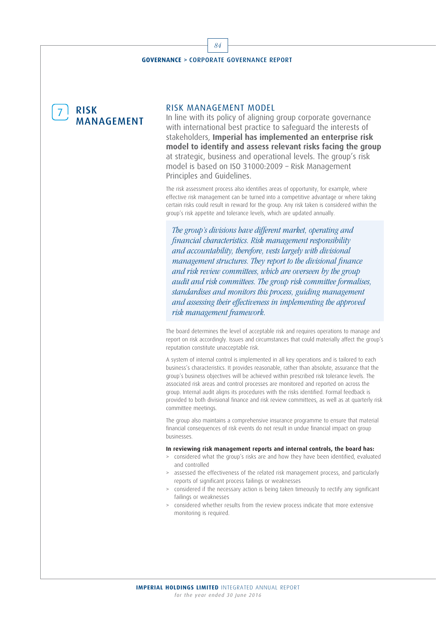**RISK** MANAGEMENT

#### RISK MANAGEMENT MODEL

In line with its policy of aligning group corporate governance with international best practice to safeguard the interests of stakeholders, **Imperial has implemented an enterprise risk model to identify and assess relevant risks facing the group** at strategic, business and operational levels. The group's risk model is based on ISO 31000:2009 – Risk Management Principles and Guidelines.

The risk assessment process also identifies areas of opportunity, for example, where effective risk management can be turned into a competitive advantage or where taking certain risks could result in reward for the group. Any risk taken is considered within the group's risk appetite and tolerance levels, which are updated annually.

The group's divisions have different market, operating and financial characteristics. Risk management responsibility and accountability, therefore, vests largely with divisional management structures. They report to the divisional finance and risk review committees, which are overseen by the group audit and risk committees. The group risk committee formalises, standardises and monitors this process, guiding management and assessing their effectiveness in implementing the approved risk management framework.

The board determines the level of acceptable risk and requires operations to manage and report on risk accordingly. Issues and circumstances that could materially affect the group's reputation constitute unacceptable risk.

A system of internal control is implemented in all key operations and is tailored to each business's characteristics. It provides reasonable, rather than absolute, assurance that the group's business objectives will be achieved within prescribed risk tolerance levels. The associated risk areas and control processes are monitored and reported on across the group. Internal audit aligns its procedures with the risks identified. Formal feedback is provided to both divisional finance and risk review committees, as well as at quarterly risk committee meetings.

The group also maintains a comprehensive insurance programme to ensure that material financial consequences of risk events do not result in undue financial impact on group businesses.

#### **In reviewing risk management reports and internal controls, the board has:**

- > considered what the group's risks are and how they have been identified, evaluated and controlled
- assessed the effectiveness of the related risk management process, and particularly reports of significant process failings or weaknesses
- > considered if the necessary action is being taken timeously to rectify any significant failings or weaknesses
- > considered whether results from the review process indicate that more extensive monitoring is required.